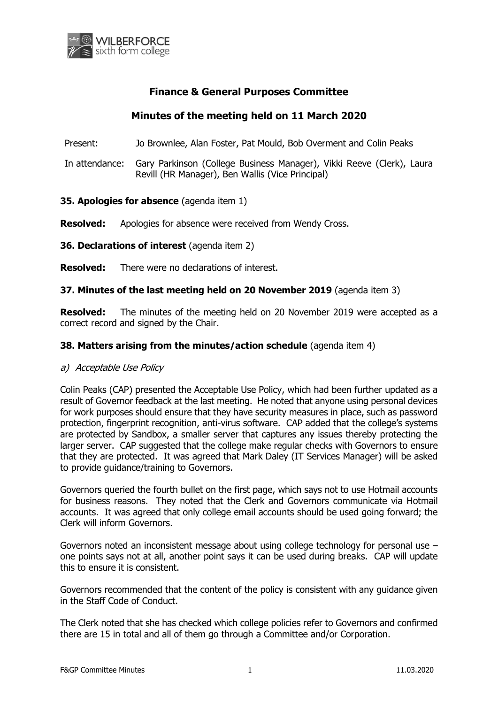

# **Finance & General Purposes Committee**

# **Minutes of the meeting held on 11 March 2020**

Present: Jo Brownlee, Alan Foster, Pat Mould, Bob Overment and Colin Peaks

In attendance: Gary Parkinson (College Business Manager), Vikki Reeve (Clerk), Laura Revill (HR Manager), Ben Wallis (Vice Principal)

## **35. Apologies for absence** (agenda item 1)

**Resolved:** Apologies for absence were received from Wendy Cross.

**36. Declarations of interest** (agenda item 2)

**Resolved:** There were no declarations of interest.

## **37. Minutes of the last meeting held on 20 November 2019** (agenda item 3)

**Resolved:** The minutes of the meeting held on 20 November 2019 were accepted as a correct record and signed by the Chair.

## **38. Matters arising from the minutes/action schedule** (agenda item 4)

#### a) Acceptable Use Policy

Colin Peaks (CAP) presented the Acceptable Use Policy, which had been further updated as a result of Governor feedback at the last meeting. He noted that anyone using personal devices for work purposes should ensure that they have security measures in place, such as password protection, fingerprint recognition, anti-virus software. CAP added that the college's systems are protected by Sandbox, a smaller server that captures any issues thereby protecting the larger server. CAP suggested that the college make regular checks with Governors to ensure that they are protected. It was agreed that Mark Daley (IT Services Manager) will be asked to provide guidance/training to Governors.

Governors queried the fourth bullet on the first page, which says not to use Hotmail accounts for business reasons. They noted that the Clerk and Governors communicate via Hotmail accounts. It was agreed that only college email accounts should be used going forward; the Clerk will inform Governors.

Governors noted an inconsistent message about using college technology for personal use – one points says not at all, another point says it can be used during breaks. CAP will update this to ensure it is consistent.

Governors recommended that the content of the policy is consistent with any guidance given in the Staff Code of Conduct.

The Clerk noted that she has checked which college policies refer to Governors and confirmed there are 15 in total and all of them go through a Committee and/or Corporation.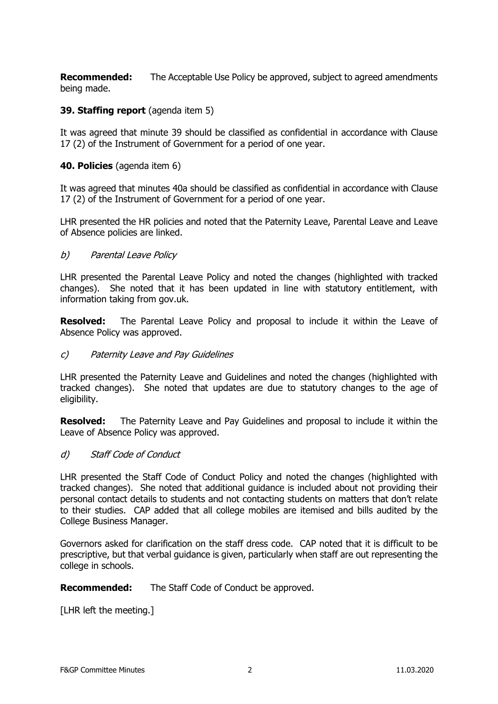**Recommended:** The Acceptable Use Policy be approved, subject to agreed amendments being made.

## **39. Staffing report** (agenda item 5)

It was agreed that minute 39 should be classified as confidential in accordance with Clause 17 (2) of the Instrument of Government for a period of one year.

#### **40. Policies** (agenda item 6)

It was agreed that minutes 40a should be classified as confidential in accordance with Clause 17 (2) of the Instrument of Government for a period of one year.

LHR presented the HR policies and noted that the Paternity Leave, Parental Leave and Leave of Absence policies are linked.

#### b) Parental Leave Policy

LHR presented the Parental Leave Policy and noted the changes (highlighted with tracked changes). She noted that it has been updated in line with statutory entitlement, with information taking from gov.uk.

**Resolved:** The Parental Leave Policy and proposal to include it within the Leave of Absence Policy was approved.

#### c) Paternity Leave and Pay Guidelines

LHR presented the Paternity Leave and Guidelines and noted the changes (highlighted with tracked changes). She noted that updates are due to statutory changes to the age of eligibility.

**Resolved:** The Paternity Leave and Pay Guidelines and proposal to include it within the Leave of Absence Policy was approved.

#### d) Staff Code of Conduct

LHR presented the Staff Code of Conduct Policy and noted the changes (highlighted with tracked changes). She noted that additional guidance is included about not providing their personal contact details to students and not contacting students on matters that don't relate to their studies. CAP added that all college mobiles are itemised and bills audited by the College Business Manager.

Governors asked for clarification on the staff dress code. CAP noted that it is difficult to be prescriptive, but that verbal guidance is given, particularly when staff are out representing the college in schools.

**Recommended:** The Staff Code of Conduct be approved.

[LHR left the meeting.]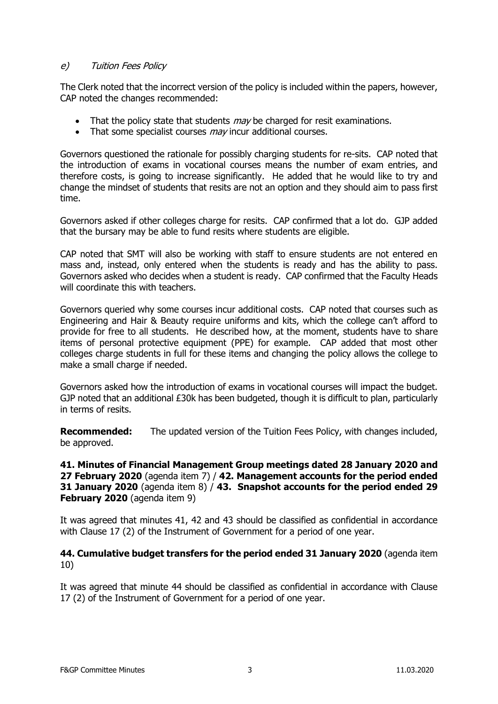# e) Tuition Fees Policy

The Clerk noted that the incorrect version of the policy is included within the papers, however, CAP noted the changes recommended:

- $\bullet$  That the policy state that students  $may$  be charged for resit examinations.
- $\bullet$  That some specialist courses  $may$  incur additional courses.

Governors questioned the rationale for possibly charging students for re-sits. CAP noted that the introduction of exams in vocational courses means the number of exam entries, and therefore costs, is going to increase significantly. He added that he would like to try and change the mindset of students that resits are not an option and they should aim to pass first time.

Governors asked if other colleges charge for resits. CAP confirmed that a lot do. GJP added that the bursary may be able to fund resits where students are eligible.

CAP noted that SMT will also be working with staff to ensure students are not entered en mass and, instead, only entered when the students is ready and has the ability to pass. Governors asked who decides when a student is ready. CAP confirmed that the Faculty Heads will coordinate this with teachers.

Governors queried why some courses incur additional costs. CAP noted that courses such as Engineering and Hair & Beauty require uniforms and kits, which the college can't afford to provide for free to all students. He described how, at the moment, students have to share items of personal protective equipment (PPE) for example. CAP added that most other colleges charge students in full for these items and changing the policy allows the college to make a small charge if needed.

Governors asked how the introduction of exams in vocational courses will impact the budget. GJP noted that an additional £30k has been budgeted, though it is difficult to plan, particularly in terms of resits.

**Recommended:** The updated version of the Tuition Fees Policy, with changes included, be approved.

#### **41. Minutes of Financial Management Group meetings dated 28 January 2020 and 27 February 2020** (agenda item 7) / **42. Management accounts for the period ended 31 January 2020** (agenda item 8) / **43. Snapshot accounts for the period ended 29 February 2020** (agenda item 9)

It was agreed that minutes 41, 42 and 43 should be classified as confidential in accordance with Clause 17 (2) of the Instrument of Government for a period of one year.

## **44. Cumulative budget transfers for the period ended 31 January 2020** (agenda item 10)

It was agreed that minute 44 should be classified as confidential in accordance with Clause 17 (2) of the Instrument of Government for a period of one year.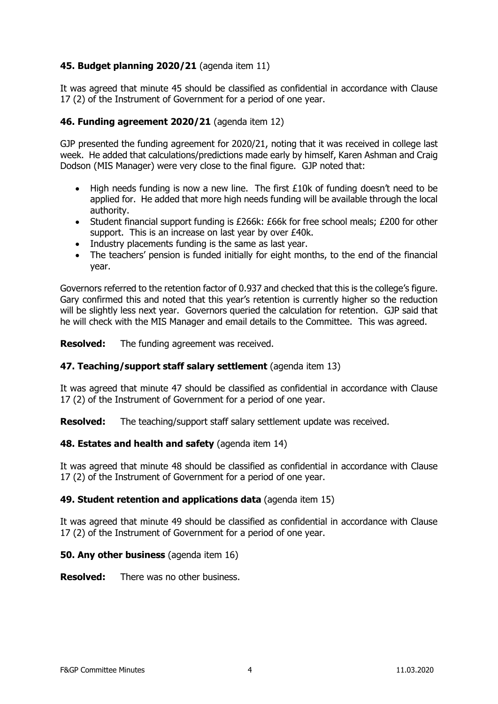# **45. Budget planning 2020/21** (agenda item 11)

It was agreed that minute 45 should be classified as confidential in accordance with Clause 17 (2) of the Instrument of Government for a period of one year.

# **46. Funding agreement 2020/21** (agenda item 12)

GJP presented the funding agreement for 2020/21, noting that it was received in college last week. He added that calculations/predictions made early by himself, Karen Ashman and Craig Dodson (MIS Manager) were very close to the final figure. GJP noted that:

- High needs funding is now a new line. The first £10k of funding doesn't need to be applied for. He added that more high needs funding will be available through the local authority.
- Student financial support funding is £266k: £66k for free school meals; £200 for other support. This is an increase on last year by over £40k.
- Industry placements funding is the same as last year.
- The teachers' pension is funded initially for eight months, to the end of the financial year.

Governors referred to the retention factor of 0.937 and checked that this is the college's figure. Gary confirmed this and noted that this year's retention is currently higher so the reduction will be slightly less next year. Governors queried the calculation for retention. GJP said that he will check with the MIS Manager and email details to the Committee. This was agreed.

**Resolved:** The funding agreement was received.

# **47. Teaching/support staff salary settlement** (agenda item 13)

It was agreed that minute 47 should be classified as confidential in accordance with Clause 17 (2) of the Instrument of Government for a period of one year.

**Resolved:** The teaching/support staff salary settlement update was received.

# **48. Estates and health and safety** (agenda item 14)

It was agreed that minute 48 should be classified as confidential in accordance with Clause 17 (2) of the Instrument of Government for a period of one year.

#### **49. Student retention and applications data** (agenda item 15)

It was agreed that minute 49 should be classified as confidential in accordance with Clause 17 (2) of the Instrument of Government for a period of one year.

#### **50. Any other business** (agenda item 16)

**Resolved:** There was no other business.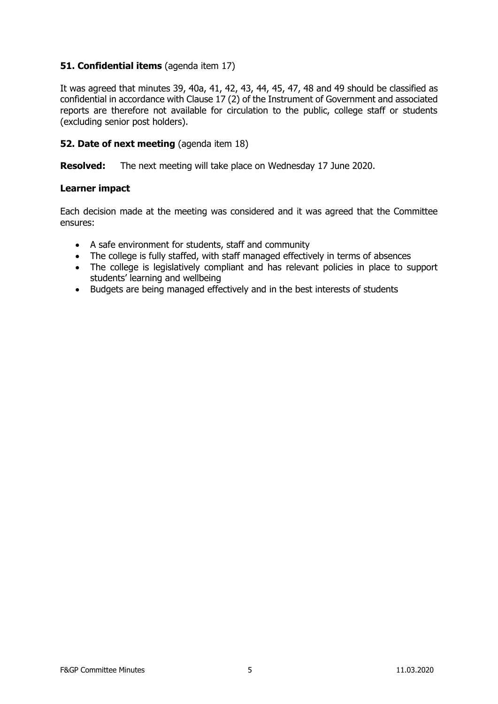# **51. Confidential items** (agenda item 17)

It was agreed that minutes 39, 40a, 41, 42, 43, 44, 45, 47, 48 and 49 should be classified as confidential in accordance with Clause 17 (2) of the Instrument of Government and associated reports are therefore not available for circulation to the public, college staff or students (excluding senior post holders).

## **52. Date of next meeting** (agenda item 18)

**Resolved:** The next meeting will take place on Wednesday 17 June 2020.

#### **Learner impact**

Each decision made at the meeting was considered and it was agreed that the Committee ensures:

- A safe environment for students, staff and community
- The college is fully staffed, with staff managed effectively in terms of absences
- The college is legislatively compliant and has relevant policies in place to support students' learning and wellbeing
- Budgets are being managed effectively and in the best interests of students